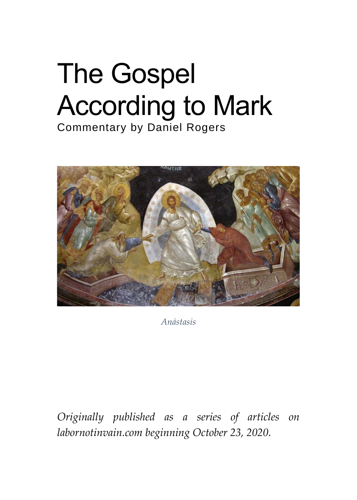# The Gospel According to Mark Commentary by Daniel Rogers



*Anástasis*

*Originally published as a series of articles on labornotinvain.com beginning October 23, 2020.*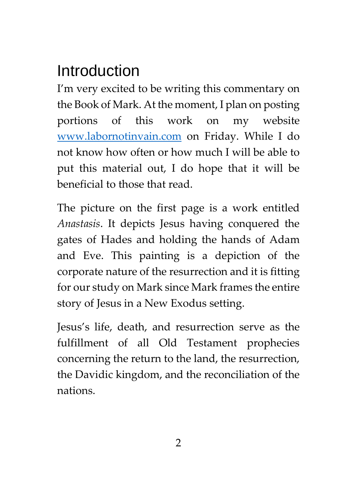## Introduction

I'm very excited to be writing this commentary on the Book of Mark. At the moment, I plan on posting portions of this work on my website [www.labornotinvain.com](http://www.labornotinvain.com/) on Friday. While I do not know how often or how much I will be able to put this material out, I do hope that it will be beneficial to those that read.

The picture on the first page is a work entitled *Anastasis*. It depicts Jesus having conquered the gates of Hades and holding the hands of Adam and Eve. This painting is a depiction of the corporate nature of the resurrection and it is fitting for our study on Mark since Mark frames the entire story of Jesus in a New Exodus setting.

Jesus's life, death, and resurrection serve as the fulfillment of all Old Testament prophecies concerning the return to the land, the resurrection, the Davidic kingdom, and the reconciliation of the nations.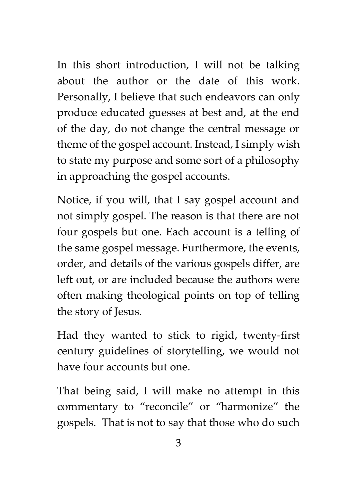In this short introduction, I will not be talking about the author or the date of this work. Personally, I believe that such endeavors can only produce educated guesses at best and, at the end of the day, do not change the central message or theme of the gospel account. Instead, I simply wish to state my purpose and some sort of a philosophy in approaching the gospel accounts.

Notice, if you will, that I say gospel account and not simply gospel. The reason is that there are not four gospels but one. Each account is a telling of the same gospel message. Furthermore, the events, order, and details of the various gospels differ, are left out, or are included because the authors were often making theological points on top of telling the story of Jesus.

Had they wanted to stick to rigid, twenty-first century guidelines of storytelling, we would not have four accounts but one.

That being said, I will make no attempt in this commentary to "reconcile" or "harmonize" the gospels. That is not to say that those who do such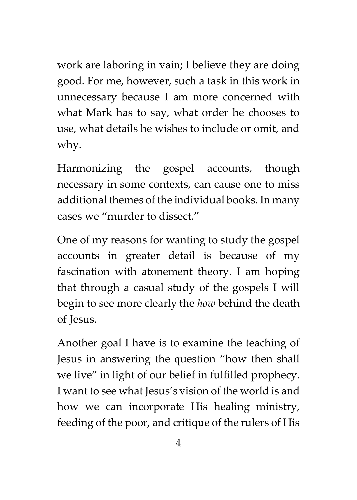work are laboring in vain; I believe they are doing good. For me, however, such a task in this work in unnecessary because I am more concerned with what Mark has to say, what order he chooses to use, what details he wishes to include or omit, and why.

Harmonizing the gospel accounts, though necessary in some contexts, can cause one to miss additional themes of the individual books. In many cases we "murder to dissect."

One of my reasons for wanting to study the gospel accounts in greater detail is because of my fascination with atonement theory. I am hoping that through a casual study of the gospels I will begin to see more clearly the *how* behind the death of Jesus.

Another goal I have is to examine the teaching of Jesus in answering the question "how then shall we live" in light of our belief in fulfilled prophecy. I want to see what Jesus's vision of the world is and how we can incorporate His healing ministry, feeding of the poor, and critique of the rulers of His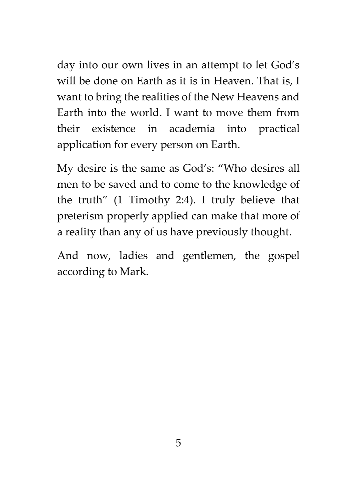day into our own lives in an attempt to let God's will be done on Earth as it is in Heaven. That is, I want to bring the realities of the New Heavens and Earth into the world. I want to move them from their existence in academia into practical application for every person on Earth.

My desire is the same as God's: "Who desires all men to be saved and to come to the knowledge of the truth" (1 Timothy 2:4). I truly believe that preterism properly applied can make that more of a reality than any of us have previously thought.

And now, ladies and gentlemen, the gospel according to Mark.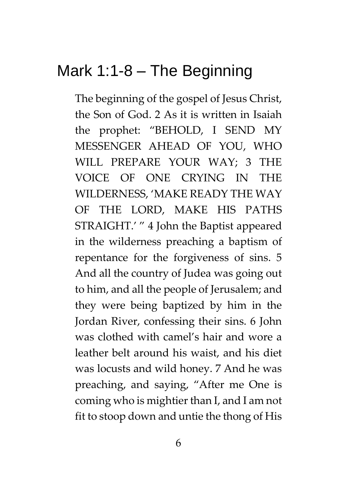## Mark 1:1-8 – The Beginning

The beginning of the gospel of Jesus Christ, the Son of God. 2 As it is written in Isaiah the prophet: "BEHOLD, I SEND MY MESSENGER AHEAD OF YOU, WHO WILL PREPARE YOUR WAY; 3 THE VOICE OF ONE CRYING IN THE WILDERNESS, 'MAKE READY THE WAY OF THE LORD, MAKE HIS PATHS STRAIGHT.' " 4 John the Baptist appeared in the wilderness preaching a baptism of repentance for the forgiveness of sins. 5 And all the country of Judea was going out to him, and all the people of Jerusalem; and they were being baptized by him in the Jordan River, confessing their sins. 6 John was clothed with camel's hair and wore a leather belt around his waist, and his diet was locusts and wild honey. 7 And he was preaching, and saying, "After me One is coming who is mightier than I, and I am not fit to stoop down and untie the thong of His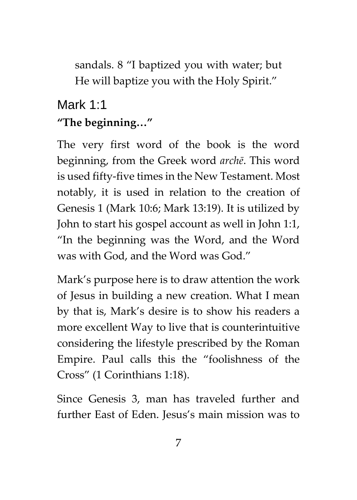sandals. 8 "I baptized you with water; but He will baptize you with the Holy Spirit."

## Mark 1:1 **"The beginning…"**

The very first word of the book is the word beginning, from the Greek word *archē*. This word is used fifty-five times in the New Testament. Most notably, it is used in relation to the creation of Genesis 1 (Mark 10:6; Mark 13:19). It is utilized by John to start his gospel account as well in John 1:1, "In the beginning was the Word, and the Word was with God, and the Word was God."

Mark's purpose here is to draw attention the work of Jesus in building a new creation. What I mean by that is, Mark's desire is to show his readers a more excellent Way to live that is counterintuitive considering the lifestyle prescribed by the Roman Empire. Paul calls this the "foolishness of the Cross" (1 Corinthians 1:18).

Since Genesis 3, man has traveled further and further East of Eden. Jesus's main mission was to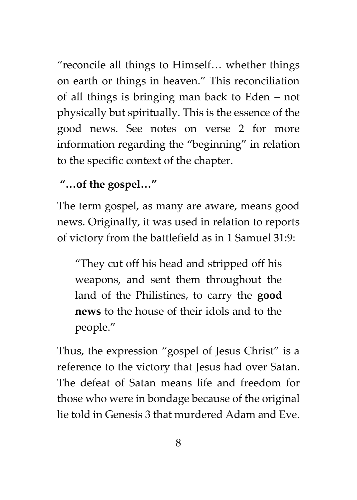"reconcile all things to Himself… whether things on earth or things in heaven." This reconciliation of all things is bringing man back to Eden – not physically but spiritually. This is the essence of the good news. See notes on verse 2 for more information regarding the "beginning" in relation to the specific context of the chapter.

#### **"…of the gospel…"**

The term gospel, as many are aware, means good news. Originally, it was used in relation to reports of victory from the battlefield as in 1 Samuel 31:9:

"They cut off his head and stripped off his weapons, and sent them throughout the land of the Philistines, to carry the **good news** to the house of their idols and to the people."

Thus, the expression "gospel of Jesus Christ" is a reference to the victory that Jesus had over Satan. The defeat of Satan means life and freedom for those who were in bondage because of the original lie told in Genesis 3 that murdered Adam and Eve.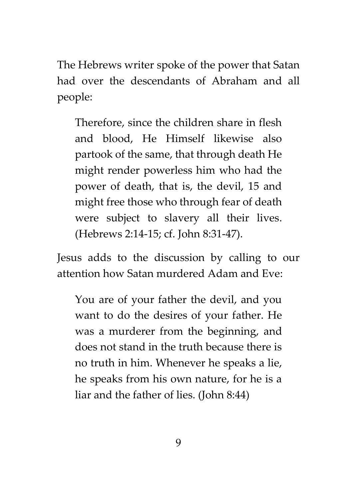The Hebrews writer spoke of the power that Satan had over the descendants of Abraham and all people:

Therefore, since the children share in flesh and blood, He Himself likewise also partook of the same, that through death He might render powerless him who had the power of death, that is, the devil, 15 and might free those who through fear of death were subject to slavery all their lives. (Hebrews 2:14-15; cf. John 8:31-47).

Jesus adds to the discussion by calling to our attention how Satan murdered Adam and Eve:

You are of your father the devil, and you want to do the desires of your father. He was a murderer from the beginning, and does not stand in the truth because there is no truth in him. Whenever he speaks a lie, he speaks from his own nature, for he is a liar and the father of lies. (John 8:44)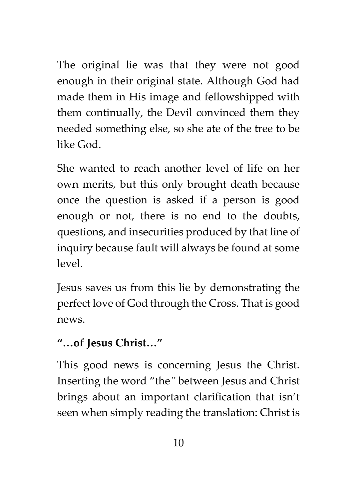The original lie was that they were not good enough in their original state. Although God had made them in His image and fellowshipped with them continually, the Devil convinced them they needed something else, so she ate of the tree to be like God.

She wanted to reach another level of life on her own merits, but this only brought death because once the question is asked if a person is good enough or not, there is no end to the doubts, questions, and insecurities produced by that line of inquiry because fault will always be found at some level.

Jesus saves us from this lie by demonstrating the perfect love of God through the Cross. That is good news.

#### **"…of Jesus Christ…"**

This good news is concerning Jesus the Christ. Inserting the word "the*"* between Jesus and Christ brings about an important clarification that isn't seen when simply reading the translation: Christ is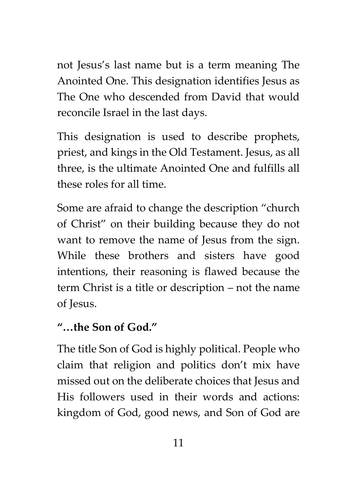not Jesus's last name but is a term meaning The Anointed One. This designation identifies Jesus as The One who descended from David that would reconcile Israel in the last days.

This designation is used to describe prophets, priest, and kings in the Old Testament. Jesus, as all three, is the ultimate Anointed One and fulfills all these roles for all time.

Some are afraid to change the description "church of Christ" on their building because they do not want to remove the name of Jesus from the sign. While these brothers and sisters have good intentions, their reasoning is flawed because the term Christ is a title or description – not the name of Jesus.

#### **"…the Son of God."**

The title Son of God is highly political. People who claim that religion and politics don't mix have missed out on the deliberate choices that Jesus and His followers used in their words and actions: kingdom of God, good news, and Son of God are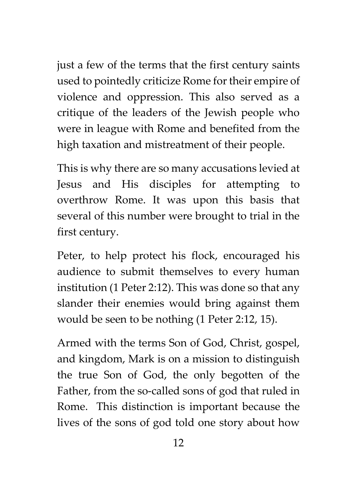just a few of the terms that the first century saints used to pointedly criticize Rome for their empire of violence and oppression. This also served as a critique of the leaders of the Jewish people who were in league with Rome and benefited from the high taxation and mistreatment of their people.

This is why there are so many accusations levied at Jesus and His disciples for attempting to overthrow Rome. It was upon this basis that several of this number were brought to trial in the first century.

Peter, to help protect his flock, encouraged his audience to submit themselves to every human institution (1 Peter 2:12). This was done so that any slander their enemies would bring against them would be seen to be nothing (1 Peter 2:12, 15).

Armed with the terms Son of God, Christ, gospel, and kingdom, Mark is on a mission to distinguish the true Son of God, the only begotten of the Father, from the so-called sons of god that ruled in Rome. This distinction is important because the lives of the sons of god told one story about how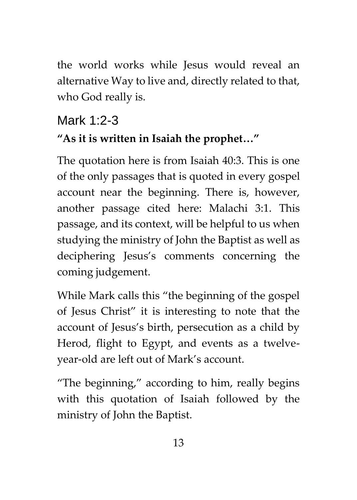the world works while Jesus would reveal an alternative Way to live and, directly related to that, who God really is.

## Mark 1:2-3

### **"As it is written in Isaiah the prophet…"**

The quotation here is from Isaiah 40:3. This is one of the only passages that is quoted in every gospel account near the beginning. There is, however, another passage cited here: Malachi 3:1. This passage, and its context, will be helpful to us when studying the ministry of John the Baptist as well as deciphering Jesus's comments concerning the coming judgement.

While Mark calls this "the beginning of the gospel of Jesus Christ" it is interesting to note that the account of Jesus's birth, persecution as a child by Herod, flight to Egypt, and events as a twelveyear-old are left out of Mark's account.

"The beginning," according to him, really begins with this quotation of Isaiah followed by the ministry of John the Baptist.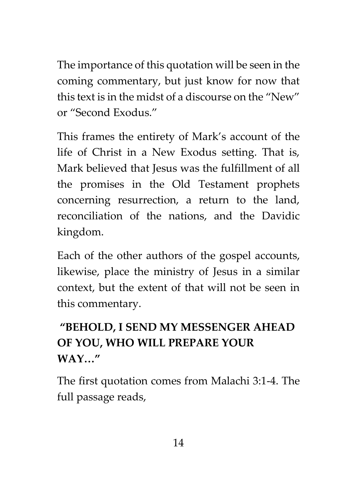The importance of this quotation will be seen in the coming commentary, but just know for now that this text is in the midst of a discourse on the "New" or "Second Exodus."

This frames the entirety of Mark's account of the life of Christ in a New Exodus setting. That is, Mark believed that Jesus was the fulfillment of all the promises in the Old Testament prophets concerning resurrection, a return to the land, reconciliation of the nations, and the Davidic kingdom.

Each of the other authors of the gospel accounts, likewise, place the ministry of Jesus in a similar context, but the extent of that will not be seen in this commentary.

## **"BEHOLD, I SEND MY MESSENGER AHEAD OF YOU, WHO WILL PREPARE YOUR WAY…"**

The first quotation comes from Malachi 3:1-4. The full passage reads,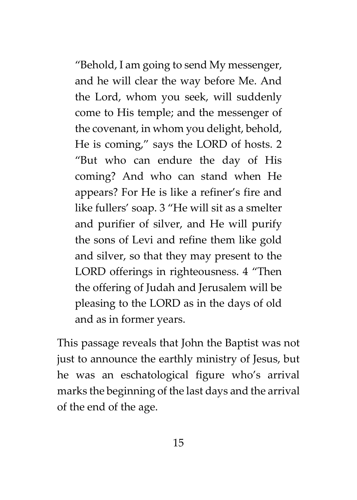"Behold, I am going to send My messenger, and he will clear the way before Me. And the Lord, whom you seek, will suddenly come to His temple; and the messenger of the covenant, in whom you delight, behold, He is coming," says the LORD of hosts. 2 "But who can endure the day of His coming? And who can stand when He appears? For He is like a refiner's fire and like fullers' soap. 3 "He will sit as a smelter and purifier of silver, and He will purify the sons of Levi and refine them like gold and silver, so that they may present to the LORD offerings in righteousness. 4 "Then the offering of Judah and Jerusalem will be pleasing to the LORD as in the days of old and as in former years.

This passage reveals that John the Baptist was not just to announce the earthly ministry of Jesus, but he was an eschatological figure who's arrival marks the beginning of the last days and the arrival of the end of the age.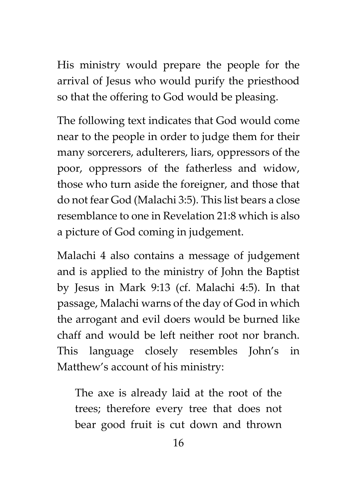His ministry would prepare the people for the arrival of Jesus who would purify the priesthood so that the offering to God would be pleasing.

The following text indicates that God would come near to the people in order to judge them for their many sorcerers, adulterers, liars, oppressors of the poor, oppressors of the fatherless and widow, those who turn aside the foreigner, and those that do not fear God (Malachi 3:5). This list bears a close resemblance to one in Revelation 21:8 which is also a picture of God coming in judgement.

Malachi 4 also contains a message of judgement and is applied to the ministry of John the Baptist by Jesus in Mark 9:13 (cf. Malachi 4:5). In that passage, Malachi warns of the day of God in which the arrogant and evil doers would be burned like chaff and would be left neither root nor branch. This language closely resembles John's in Matthew's account of his ministry:

The axe is already laid at the root of the trees; therefore every tree that does not bear good fruit is cut down and thrown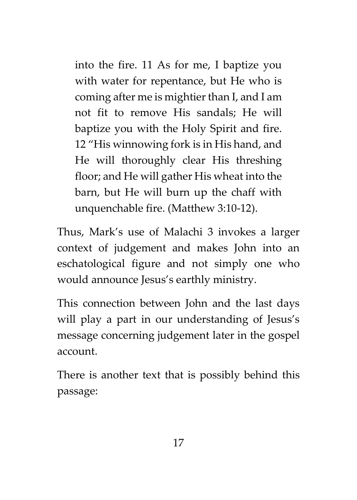into the fire. 11 As for me, I baptize you with water for repentance, but He who is coming after me is mightier than I, and I am not fit to remove His sandals; He will baptize you with the Holy Spirit and fire. 12 "His winnowing fork is in His hand, and He will thoroughly clear His threshing floor; and He will gather His wheat into the barn, but He will burn up the chaff with unquenchable fire. (Matthew 3:10-12).

Thus, Mark's use of Malachi 3 invokes a larger context of judgement and makes John into an eschatological figure and not simply one who would announce Jesus's earthly ministry.

This connection between John and the last days will play a part in our understanding of Jesus's message concerning judgement later in the gospel account.

There is another text that is possibly behind this passage: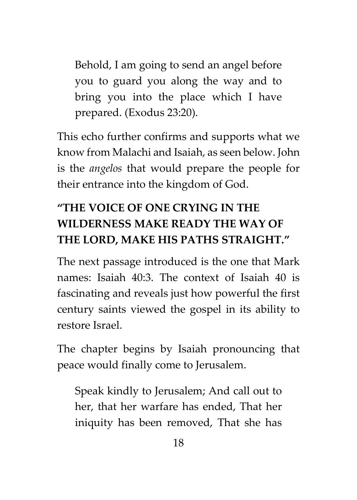Behold, I am going to send an angel before you to guard you along the way and to bring you into the place which I have prepared. (Exodus 23:20).

This echo further confirms and supports what we know from Malachi and Isaiah, as seen below. John is the *angelos* that would prepare the people for their entrance into the kingdom of God.

## **"THE VOICE OF ONE CRYING IN THE WILDERNESS MAKE READY THE WAY OF THE LORD, MAKE HIS PATHS STRAIGHT."**

The next passage introduced is the one that Mark names: Isaiah 40:3. The context of Isaiah 40 is fascinating and reveals just how powerful the first century saints viewed the gospel in its ability to restore Israel.

The chapter begins by Isaiah pronouncing that peace would finally come to Jerusalem.

Speak kindly to Jerusalem; And call out to her, that her warfare has ended, That her iniquity has been removed, That she has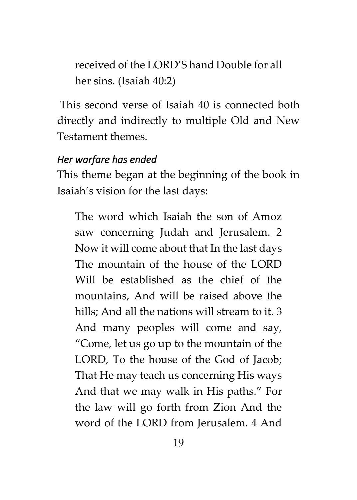received of the LORD'S hand Double for all her sins. (Isaiah 40:2)

This second verse of Isaiah 40 is connected both directly and indirectly to multiple Old and New Testament themes.

#### *Her warfare has ended*

This theme began at the beginning of the book in Isaiah's vision for the last days:

The word which Isaiah the son of Amoz saw concerning Judah and Jerusalem. 2 Now it will come about that In the last days The mountain of the house of the LORD Will be established as the chief of the mountains, And will be raised above the hills; And all the nations will stream to it. 3 And many peoples will come and say, "Come, let us go up to the mountain of the LORD, To the house of the God of Jacob; That He may teach us concerning His ways And that we may walk in His paths." For the law will go forth from Zion And the word of the LORD from Jerusalem. 4 And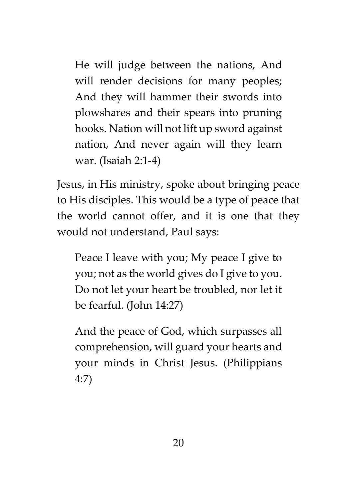He will judge between the nations, And will render decisions for many peoples; And they will hammer their swords into plowshares and their spears into pruning hooks. Nation will not lift up sword against nation, And never again will they learn war. (Isaiah 2:1-4)

Jesus, in His ministry, spoke about bringing peace to His disciples. This would be a type of peace that the world cannot offer, and it is one that they would not understand, Paul says:

Peace I leave with you; My peace I give to you; not as the world gives do I give to you. Do not let your heart be troubled, nor let it be fearful. (John 14:27)

And the peace of God, which surpasses all comprehension, will guard your hearts and your minds in Christ Jesus. (Philippians 4:7)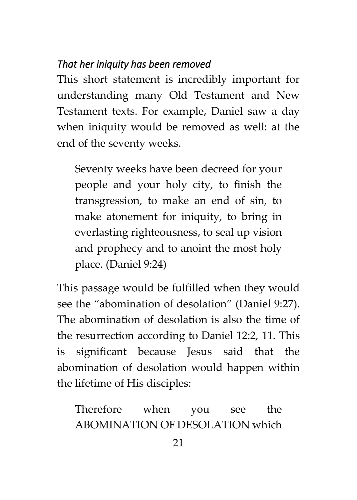#### *That her iniquity has been removed*

This short statement is incredibly important for understanding many Old Testament and New Testament texts. For example, Daniel saw a day when iniquity would be removed as well: at the end of the seventy weeks.

Seventy weeks have been decreed for your people and your holy city, to finish the transgression, to make an end of sin, to make atonement for iniquity, to bring in everlasting righteousness, to seal up vision and prophecy and to anoint the most holy place. (Daniel 9:24)

This passage would be fulfilled when they would see the "abomination of desolation" (Daniel 9:27). The abomination of desolation is also the time of the resurrection according to Daniel 12:2, 11. This is significant because Jesus said that the abomination of desolation would happen within the lifetime of His disciples:

Therefore when you see the ABOMINATION OF DESOLATION which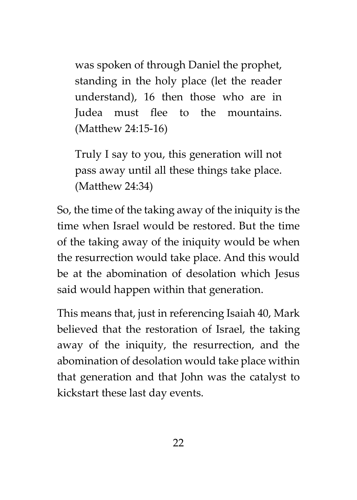was spoken of through Daniel the prophet, standing in the holy place (let the reader understand), 16 then those who are in Judea must flee to the mountains. (Matthew 24:15-16)

Truly I say to you, this generation will not pass away until all these things take place. (Matthew 24:34)

So, the time of the taking away of the iniquity is the time when Israel would be restored. But the time of the taking away of the iniquity would be when the resurrection would take place. And this would be at the abomination of desolation which Jesus said would happen within that generation.

This means that, just in referencing Isaiah 40, Mark believed that the restoration of Israel, the taking away of the iniquity, the resurrection, and the abomination of desolation would take place within that generation and that John was the catalyst to kickstart these last day events.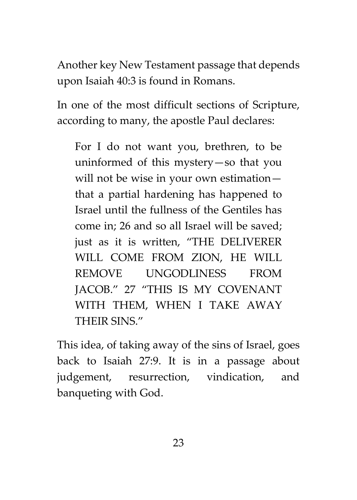Another key New Testament passage that depends upon Isaiah 40:3 is found in Romans.

In one of the most difficult sections of Scripture, according to many, the apostle Paul declares:

For I do not want you, brethren, to be uninformed of this mystery—so that you will not be wise in your own estimation that a partial hardening has happened to Israel until the fullness of the Gentiles has come in; 26 and so all Israel will be saved; just as it is written, "THE DELIVERER WILL COME FROM ZION, HE WILL REMOVE UNGODLINESS FROM JACOB." 27 "THIS IS MY COVENANT WITH THEM, WHEN I TAKE AWAY THEIR SINS."

This idea, of taking away of the sins of Israel, goes back to Isaiah 27:9. It is in a passage about judgement, resurrection, vindication, and banqueting with God.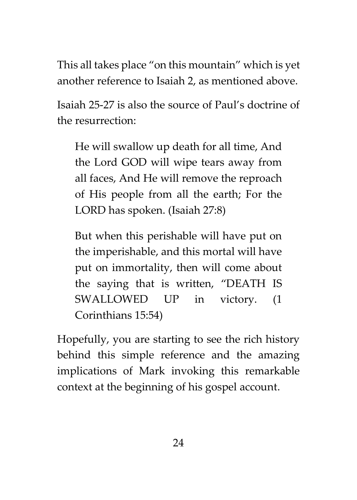This all takes place "on this mountain" which is yet another reference to Isaiah 2, as mentioned above.

Isaiah 25-27 is also the source of Paul's doctrine of the resurrection:

He will swallow up death for all time, And the Lord GOD will wipe tears away from all faces, And He will remove the reproach of His people from all the earth; For the LORD has spoken. (Isaiah 27:8)

But when this perishable will have put on the imperishable, and this mortal will have put on immortality, then will come about the saying that is written, "DEATH IS SWALLOWED UP in victory. (1 Corinthians 15:54)

Hopefully, you are starting to see the rich history behind this simple reference and the amazing implications of Mark invoking this remarkable context at the beginning of his gospel account.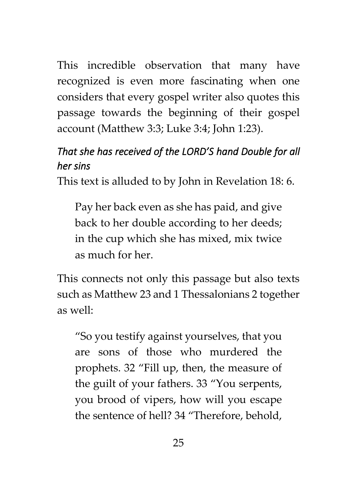This incredible observation that many have recognized is even more fascinating when one considers that every gospel writer also quotes this passage towards the beginning of their gospel account (Matthew 3:3; Luke 3:4; John 1:23).

#### *That she has received of the LORD'S hand Double for all her sins*

This text is alluded to by John in Revelation 18: 6.

Pay her back even as she has paid, and give back to her double according to her deeds; in the cup which she has mixed, mix twice as much for her.

This connects not only this passage but also texts such as Matthew 23 and 1 Thessalonians 2 together as well:

"So you testify against yourselves, that you are sons of those who murdered the prophets. 32 "Fill up, then, the measure of the guilt of your fathers. 33 "You serpents, you brood of vipers, how will you escape the sentence of hell? 34 "Therefore, behold,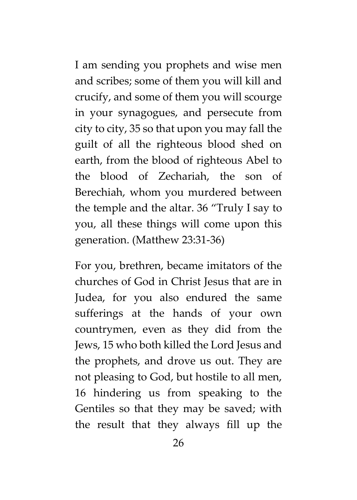I am sending you prophets and wise men and scribes; some of them you will kill and crucify, and some of them you will scourge in your synagogues, and persecute from city to city, 35 so that upon you may fall the guilt of all the righteous blood shed on earth, from the blood of righteous Abel to the blood of Zechariah, the son of Berechiah, whom you murdered between the temple and the altar. 36 "Truly I say to you, all these things will come upon this generation. (Matthew 23:31-36)

For you, brethren, became imitators of the churches of God in Christ Jesus that are in Judea, for you also endured the same sufferings at the hands of your own countrymen, even as they did from the Jews, 15 who both killed the Lord Jesus and the prophets, and drove us out. They are not pleasing to God, but hostile to all men, 16 hindering us from speaking to the Gentiles so that they may be saved; with the result that they always fill up the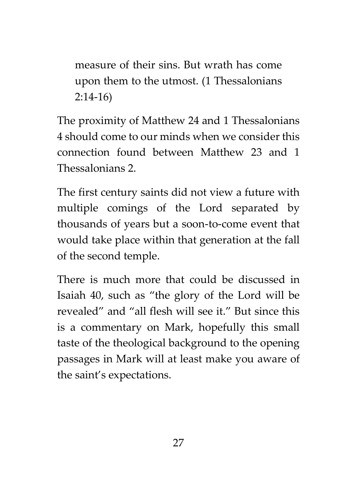measure of their sins. But wrath has come upon them to the utmost. (1 Thessalonians 2:14-16)

The proximity of Matthew 24 and 1 Thessalonians 4 should come to our minds when we consider this connection found between Matthew 23 and 1 Thessalonians 2.

The first century saints did not view a future with multiple comings of the Lord separated by thousands of years but a soon-to-come event that would take place within that generation at the fall of the second temple.

There is much more that could be discussed in Isaiah 40, such as "the glory of the Lord will be revealed" and "all flesh will see it." But since this is a commentary on Mark, hopefully this small taste of the theological background to the opening passages in Mark will at least make you aware of the saint's expectations.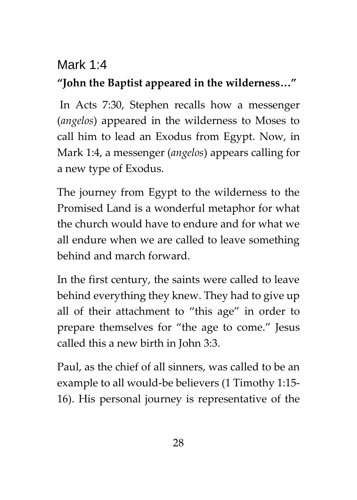#### Mark 1:4

### **"John the Baptist appeared in the wilderness…"**

In Acts 7:30, Stephen recalls how a messenger (*angelos*) appeared in the wilderness to Moses to call him to lead an Exodus from Egypt. Now, in Mark 1:4, a messenger (*angelos*) appears calling for a new type of Exodus.

The journey from Egypt to the wilderness to the Promised Land is a wonderful metaphor for what the church would have to endure and for what we all endure when we are called to leave something behind and march forward.

In the first century, the saints were called to leave behind everything they knew. They had to give up all of their attachment to "this age" in order to prepare themselves for "the age to come." Jesus called this a new birth in John 3:3.

Paul, as the chief of all sinners, was called to be an example to all would-be believers (1 Timothy 1:15- 16). His personal journey is representative of the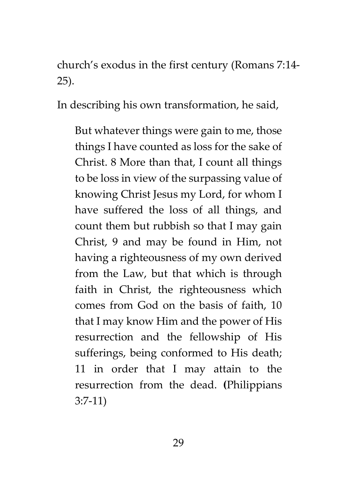church's exodus in the first century (Romans 7:14- 25).

In describing his own transformation, he said,

But whatever things were gain to me, those things I have counted as loss for the sake of Christ. 8 More than that, I count all things to be loss in view of the surpassing value of knowing Christ Jesus my Lord, for whom I have suffered the loss of all things, and count them but rubbish so that I may gain Christ, 9 and may be found in Him, not having a righteousness of my own derived from the Law, but that which is through faith in Christ, the righteousness which comes from God on the basis of faith, 10 that I may know Him and the power of His resurrection and the fellowship of His sufferings, being conformed to His death; 11 in order that I may attain to the resurrection from the dead. **(**Philippians 3:7-11)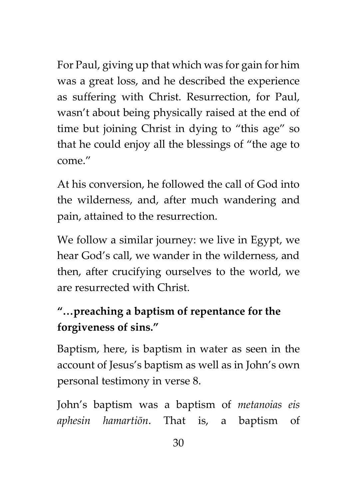For Paul, giving up that which was for gain for him was a great loss, and he described the experience as suffering with Christ. Resurrection, for Paul, wasn't about being physically raised at the end of time but joining Christ in dying to "this age" so that he could enjoy all the blessings of "the age to come."

At his conversion, he followed the call of God into the wilderness, and, after much wandering and pain, attained to the resurrection.

We follow a similar journey: we live in Egypt, we hear God's call, we wander in the wilderness, and then, after crucifying ourselves to the world, we are resurrected with Christ.

## **"…preaching a baptism of repentance for the forgiveness of sins."**

Baptism, here, is baptism in water as seen in the account of Jesus's baptism as well as in John's own personal testimony in verse 8.

John's baptism was a baptism of *metanoias eis aphesin hamartiōn*. That is, a baptism of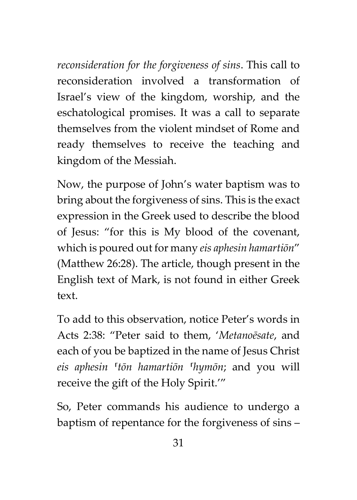*reconsideration for the forgiveness of sins*. This call to reconsideration involved a transformation of Israel's view of the kingdom, worship, and the eschatological promises. It was a call to separate themselves from the violent mindset of Rome and ready themselves to receive the teaching and kingdom of the Messiah.

Now, the purpose of John's water baptism was to bring about the forgiveness of sins. This is the exact expression in the Greek used to describe the blood of Jesus: "for this is My blood of the covenant, which is poured out for many *eis aphesin hamartiōn*" (Matthew 26:28). The article, though present in the English text of Mark, is not found in either Greek text.

To add to this observation, notice Peter's words in Acts 2:38: "Peter said to them, '*Metanoēsate*, and each of you be baptized in the name of Jesus Christ *eis aphesin ⸀tōn hamartiōn ⸀hymōn*; and you will receive the gift of the Holy Spirit.'"

So, Peter commands his audience to undergo a baptism of repentance for the forgiveness of sins –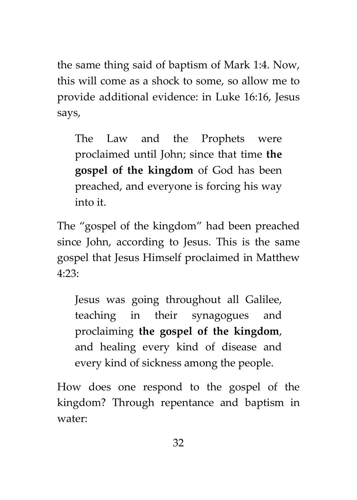the same thing said of baptism of Mark 1:4. Now, this will come as a shock to some, so allow me to provide additional evidence: in Luke 16:16, Jesus says,

The Law and the Prophets were proclaimed until John; since that time **the gospel of the kingdom** of God has been preached, and everyone is forcing his way into it.

The "gospel of the kingdom" had been preached since John, according to Jesus. This is the same gospel that Jesus Himself proclaimed in Matthew 4:23:

Jesus was going throughout all Galilee, teaching in their synagogues and proclaiming **the gospel of the kingdom**, and healing every kind of disease and every kind of sickness among the people.

How does one respond to the gospel of the kingdom? Through repentance and baptism in water: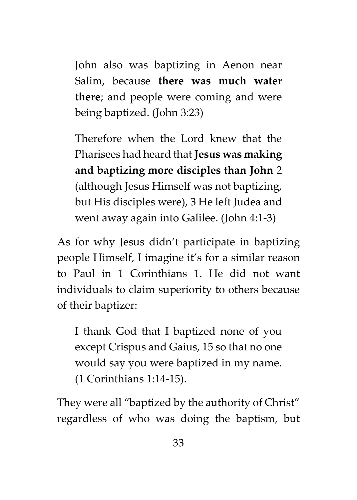John also was baptizing in Aenon near Salim, because **there was much water there**; and people were coming and were being baptized. (John 3:23)

Therefore when the Lord knew that the Pharisees had heard that **Jesus was making and baptizing more disciples than John** 2 (although Jesus Himself was not baptizing, but His disciples were), 3 He left Judea and went away again into Galilee. (John 4:1-3)

As for why Jesus didn't participate in baptizing people Himself, I imagine it's for a similar reason to Paul in 1 Corinthians 1. He did not want individuals to claim superiority to others because of their baptizer:

I thank God that I baptized none of you except Crispus and Gaius, 15 so that no one would say you were baptized in my name. (1 Corinthians 1:14-15).

They were all "baptized by the authority of Christ" regardless of who was doing the baptism, but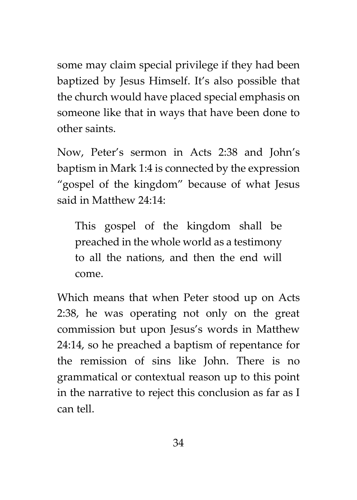some may claim special privilege if they had been baptized by Jesus Himself. It's also possible that the church would have placed special emphasis on someone like that in ways that have been done to other saints.

Now, Peter's sermon in Acts 2:38 and John's baptism in Mark 1:4 is connected by the expression "gospel of the kingdom" because of what Jesus said in Matthew 24:14:

This gospel of the kingdom shall be preached in the whole world as a testimony to all the nations, and then the end will come.

Which means that when Peter stood up on Acts 2:38, he was operating not only on the great commission but upon Jesus's words in Matthew 24:14, so he preached a baptism of repentance for the remission of sins like John. There is no grammatical or contextual reason up to this point in the narrative to reject this conclusion as far as I can tell.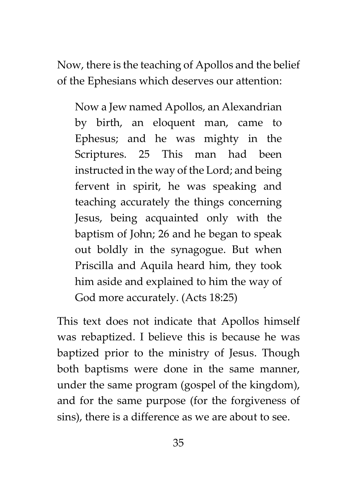Now, there is the teaching of Apollos and the belief of the Ephesians which deserves our attention:

Now a Jew named Apollos, an Alexandrian by birth, an eloquent man, came to Ephesus; and he was mighty in the Scriptures. 25 This man had been instructed in the way of the Lord; and being fervent in spirit, he was speaking and teaching accurately the things concerning Jesus, being acquainted only with the baptism of John; 26 and he began to speak out boldly in the synagogue. But when Priscilla and Aquila heard him, they took him aside and explained to him the way of God more accurately. (Acts 18:25)

This text does not indicate that Apollos himself was rebaptized. I believe this is because he was baptized prior to the ministry of Jesus. Though both baptisms were done in the same manner, under the same program (gospel of the kingdom), and for the same purpose (for the forgiveness of sins), there is a difference as we are about to see.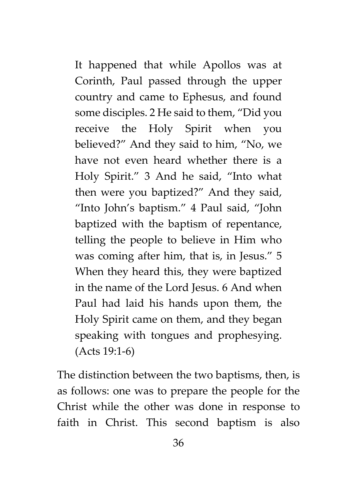It happened that while Apollos was at Corinth, Paul passed through the upper country and came to Ephesus, and found some disciples. 2 He said to them, "Did you receive the Holy Spirit when you believed?" And they said to him, "No, we have not even heard whether there is a Holy Spirit." 3 And he said, "Into what then were you baptized?" And they said, "Into John's baptism." 4 Paul said, "John baptized with the baptism of repentance, telling the people to believe in Him who was coming after him, that is, in Jesus." 5 When they heard this, they were baptized in the name of the Lord Jesus. 6 And when Paul had laid his hands upon them, the Holy Spirit came on them, and they began speaking with tongues and prophesying. (Acts 19:1-6)

The distinction between the two baptisms, then, is as follows: one was to prepare the people for the Christ while the other was done in response to faith in Christ. This second baptism is also